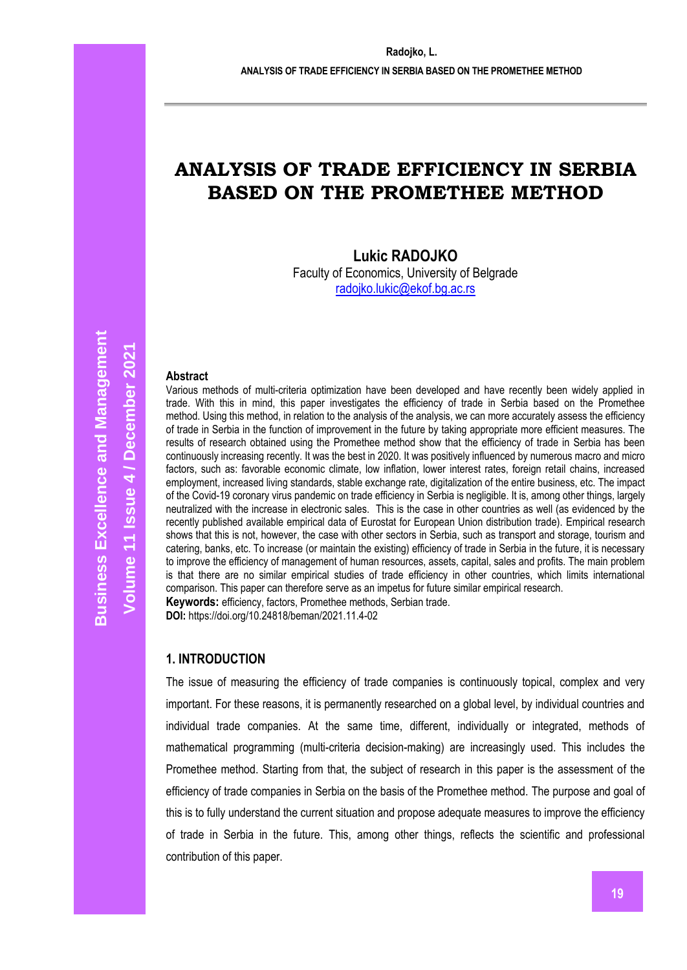**ANALYSIS OF TRADE EFFICIENCY IN SERBIA BASED ON THE PROMETHEE METHOD**

# **ANALYSIS OF TRADE EFFICIENCY IN SERBIA BASED ON THE PROMETHEE METHOD**

**Lukic RADOJKO**

Faculty of Economics, University of Belgrade [radojko.lukic@ekof.bg.ac.rs](mailto:radojko.lukic@ekof.bg.ac.rs)

#### **Abstract**

Various methods of multi-criteria optimization have been developed and have recently been widely applied in trade. With this in mind, this paper investigates the efficiency of trade in Serbia based on the Promethee method. Using this method, in relation to the analysis of the analysis, we can more accurately assess the efficiency of trade in Serbia in the function of improvement in the future by taking appropriate more efficient measures. The results of research obtained using the Promethee method show that the efficiency of trade in Serbia has been continuously increasing recently. It was the best in 2020. It was positively influenced by numerous macro and micro factors, such as: favorable economic climate, low inflation, lower interest rates, foreign retail chains, increased employment, increased living standards, stable exchange rate, digitalization of the entire business, etc. The impact of the Covid-19 coronary virus pandemic on trade efficiency in Serbia is negligible. It is, among other things, largely neutralized with the increase in electronic sales. This is the case in other countries as well (as evidenced by the recently published available empirical data of Eurostat for European Union distribution trade). Empirical research shows that this is not, however, the case with other sectors in Serbia, such as transport and storage, tourism and catering, banks, etc. To increase (or maintain the existing) efficiency of trade in Serbia in the future, it is necessary to improve the efficiency of management of human resources, assets, capital, sales and profits. The main problem is that there are no similar empirical studies of trade efficiency in other countries, which limits international comparison. This paper can therefore serve as an impetus for future similar empirical research. **Keywords:** efficiency, factors, Promethee methods, Serbian trade.

**DOI:** https://doi.org/10.24818/beman/2021.11.4-02

#### **1. INTRODUCTION**

The issue of measuring the efficiency of trade companies is continuously topical, complex and very important. For these reasons, it is permanently researched on a global level, by individual countries and individual trade companies. At the same time, different, individually or integrated, methods of mathematical programming (multi-criteria decision-making) are increasingly used. This includes the Promethee method. Starting from that, the subject of research in this paper is the assessment of the efficiency of trade companies in Serbia on the basis of the Promethee method. The purpose and goal of this is to fully understand the current situation and propose adequate measures to improve the efficiency of trade in Serbia in the future. This, among other things, reflects the scientific and professional contribution of this paper.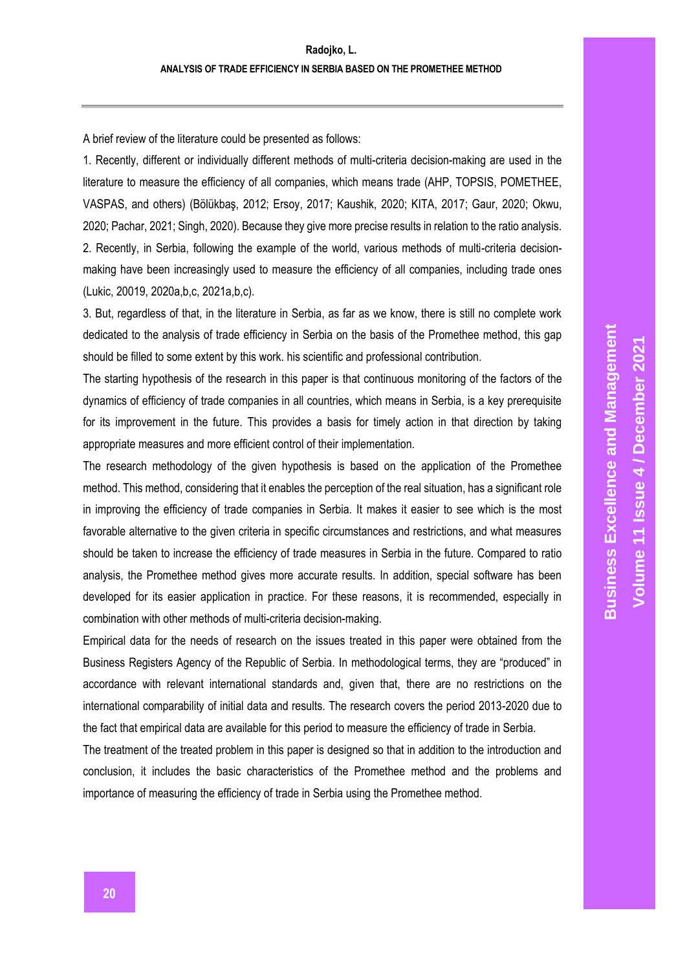A brief review of the literature could be presented as follows:

1. Recently, different or individually different methods of multi-criteria decision-making are used in the literature to measure the efficiency of all companies, which means trade (AHP, TOPSIS, POMETHEE, VASPAS, and others) (Bölükbaş, 2012; Ersoy, 2017; Kaushik, 2020; KITA, 2017; Gaur, 2020; Okwu, 2020; Pachar, 2021; Singh, 2020). Because they give more precise results in relation to the ratio analysis. 2. Recently, in Serbia, following the example of the world, various methods of multi-criteria decisionmaking have been increasingly used to measure the efficiency of all companies, including trade ones (Lukic, 20019, 2020a,b,c, 2021a,b,c).

3. But, regardless of that, in the literature in Serbia, as far as we know, there is still no complete work dedicated to the analysis of trade efficiency in Serbia on the basis of the Promethee method, this gap should be filled to some extent by this work. his scientific and professional contribution.

The starting hypothesis of the research in this paper is that continuous monitoring of the factors of the dynamics of efficiency of trade companies in all countries, which means in Serbia, is a key prerequisite for its improvement in the future. This provides a basis for timely action in that direction by taking appropriate measures and more efficient control of their implementation.

The research methodology of the given hypothesis is based on the application of the Promethee method. This method, considering that it enables the perception of the real situation, has a significant role in improving the efficiency of trade companies in Serbia. It makes it easier to see which is the most favorable alternative to the given criteria in specific circumstances and restrictions, and what measures should be taken to increase the efficiency of trade measures in Serbia in the future. Compared to ratio analysis, the Promethee method gives more accurate results. In addition, special software has been developed for its easier application in practice. For these reasons, it is recommended, especially in combination with other methods of multi-criteria decision-making.

Empirical data for the needs of research on the issues treated in this paper were obtained from the Business Registers Agency of the Republic of Serbia. In methodological terms, they are "produced" in accordance with relevant international standards and, given that, there are no restrictions on the international comparability of initial data and results. The research covers the period 2013-2020 due to the fact that empirical data are available for this period to measure the efficiency of trade in Serbia.

The treatment of the treated problem in this paper is designed so that in addition to the introduction and conclusion, it includes the basic characteristics of the Promethee method and the problems and importance of measuring the efficiency of trade in Serbia using the Promethee method.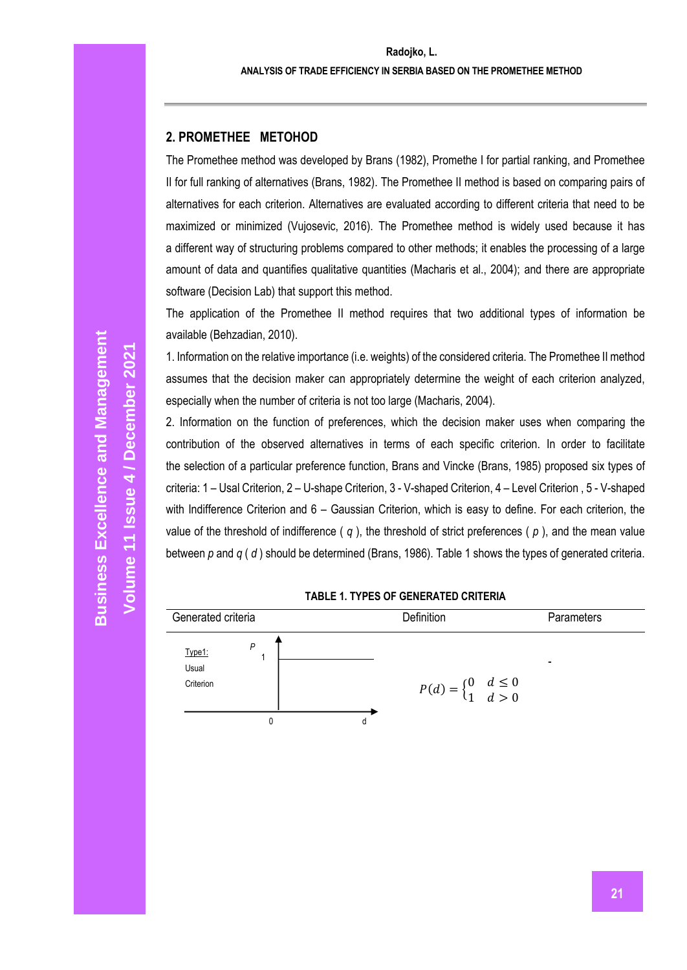## **2. PROMETHEE METOHOD**

The Promethee method was developed by Brans (1982), Promethe I for partial ranking, and Promethee II for full ranking of alternatives (Brans, 1982). The Promethee II method is based on comparing pairs of alternatives for each criterion. Alternatives are evaluated according to different criteria that need to be maximized or minimized (Vujosevic, 2016). The Promethee method is widely used because it has a different way of structuring problems compared to other methods; it enables the processing of a large amount of data and quantifies qualitative quantities (Macharis et al., 2004); and there are appropriate software (Decision Lab) that support this method.

The application of the Promethee II method requires that two additional types of information be available (Behzadian, 2010).

1. Information on the relative importance (i.e. weights) of the considered criteria. The Promethee II method assumes that the decision maker can appropriately determine the weight of each criterion analyzed, especially when the number of criteria is not too large (Macharis, 2004).

2. Information on the function of preferences, which the decision maker uses when comparing the contribution of the observed alternatives in terms of each specific criterion. In order to facilitate the selection of a particular preference function, Brans and Vincke (Brans, 1985) proposed six types of criteria: 1 – Usal Criterion, 2 – U-shape Criterion, 3 - V-shaped Criterion, 4 – Level Criterion , 5 - V-shaped with Indifference Criterion and 6 – Gaussian Criterion, which is easy to define. For each criterion, the value of the threshold of indifference ( *q* ), the threshold of strict preferences ( *p* ), and the mean value between *p* and *q* ( *d* ) should be determined (Brans, 1986). Table 1 shows the types of generated criteria.

#### **TABLE 1. TYPES OF GENERATED CRITERIA**

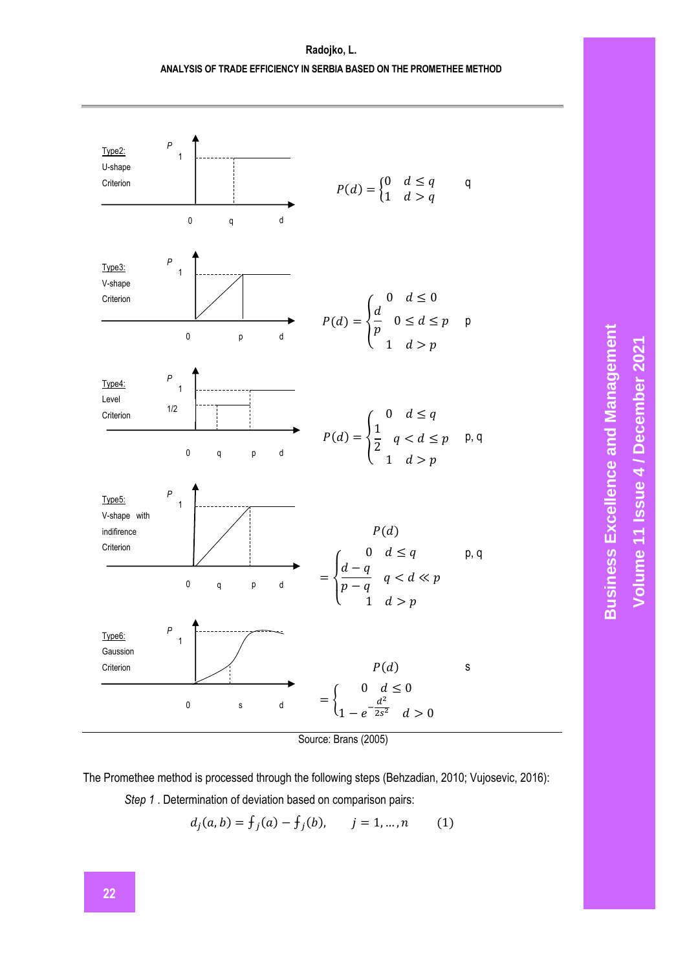## **Radojko, L. ANALYSIS OF TRADE EFFICIENCY IN SERBIA BASED ON THE PROMETHEE METHOD**



Source: Brans (2005)

The Promethee method is processed through the following steps (Behzadian, 2010; Vujosevic, 2016):

*Step 1* . Determination of deviation based on comparison pairs:

$$
d_j(a, b) = f_j(a) - f_j(b), \qquad j = 1, ..., n \tag{1}
$$

# **Business Excellence and Management Business Excellence and Management / December 2021** Volume 11 Issue 4 / December 2021 **Volume 11 Issue**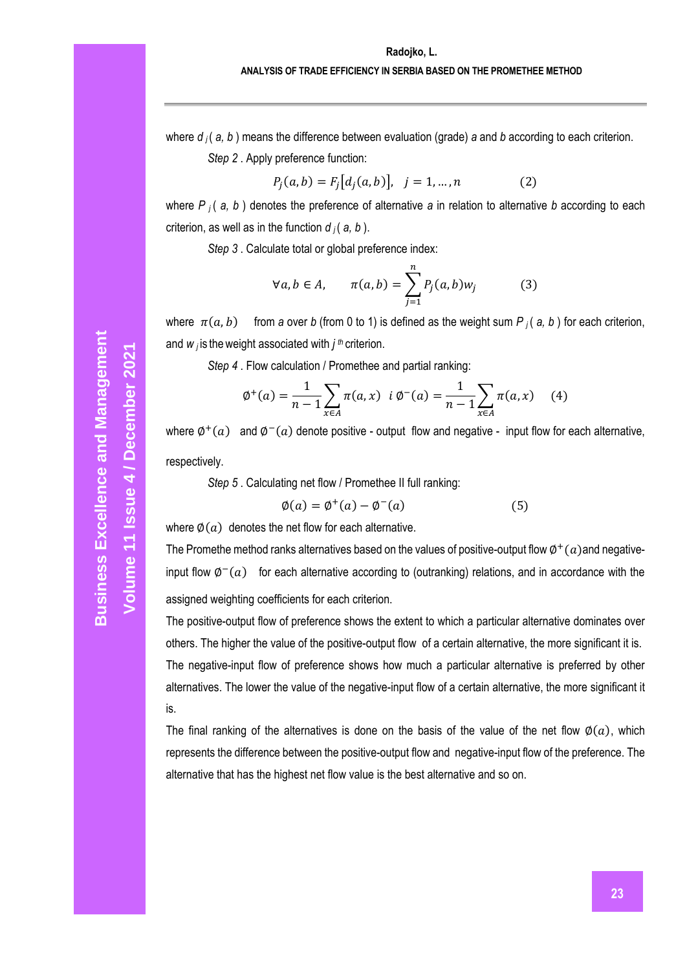## **Radojko, L.**

### **ANALYSIS OF TRADE EFFICIENCY IN SERBIA BASED ON THE PROMETHEE METHOD**

where *d <sup>j</sup>* ( *a, b* ) means the difference between evaluation (grade) *a* and *b* according to each criterion.

*Step 2* . Apply preference function:

$$
P_j(a, b) = F_j[d_j(a, b)], \quad j = 1, ..., n
$$
 (2)

where *P <sup>j</sup>* ( *a, b* ) denotes the preference of alternative *a* in relation to alternative *b* according to each criterion, as well as in the function  $d_i$  ( $a, b$ ).

*Step 3* . Calculate total or global preference index:

$$
\forall a, b \in A, \qquad \pi(a, b) = \sum_{j=1}^{n} P_j(a, b) w_j \tag{3}
$$

where  $\pi(a, b)$  from *a* over *b* (from 0 to 1) is defined as the weight sum *P j* (*a, b*) for each criterion, and *w <sup>j</sup>*is theweight associated with *j th* criterion.

*Step 4* . Flow calculation / Promethee and partial ranking:

$$
\phi^+(a) = \frac{1}{n-1} \sum_{x \in A} \pi(a, x) \quad i \; \phi^-(a) = \frac{1}{n-1} \sum_{x \in A} \pi(a, x) \tag{4}
$$

where  $\varphi^+(a)$  and  $\varphi^-(a)$  denote positive - output flow and negative - input flow for each alternative, respectively.

*Step 5* . Calculating net flow / Promethee II full ranking:

$$
\emptyset(a) = \emptyset^+(a) - \emptyset^-(a) \tag{5}
$$

where  $\phi(a)$  denotes the net flow for each alternative.

The Promethe method ranks alternatives based on the values of positive-output flow  $\varphi^+(a)$  and negativeinput flow  $\varphi^-(a)$  for each alternative according to (outranking) relations, and in accordance with the assigned weighting coefficients for each criterion.

The positive-output flow of preference shows the extent to which a particular alternative dominates over others. The higher the value of the positive-output flow of a certain alternative, the more significant it is. The negative-input flow of preference shows how much a particular alternative is preferred by other alternatives. The lower the value of the negative-input flow of a certain alternative, the more significant it is.

The final ranking of the alternatives is done on the basis of the value of the net flow  $\varphi(a)$ , which represents the difference between the positive-output flow and negative-input flow of the preference. The alternative that has the highest net flow value is the best alternative and so on.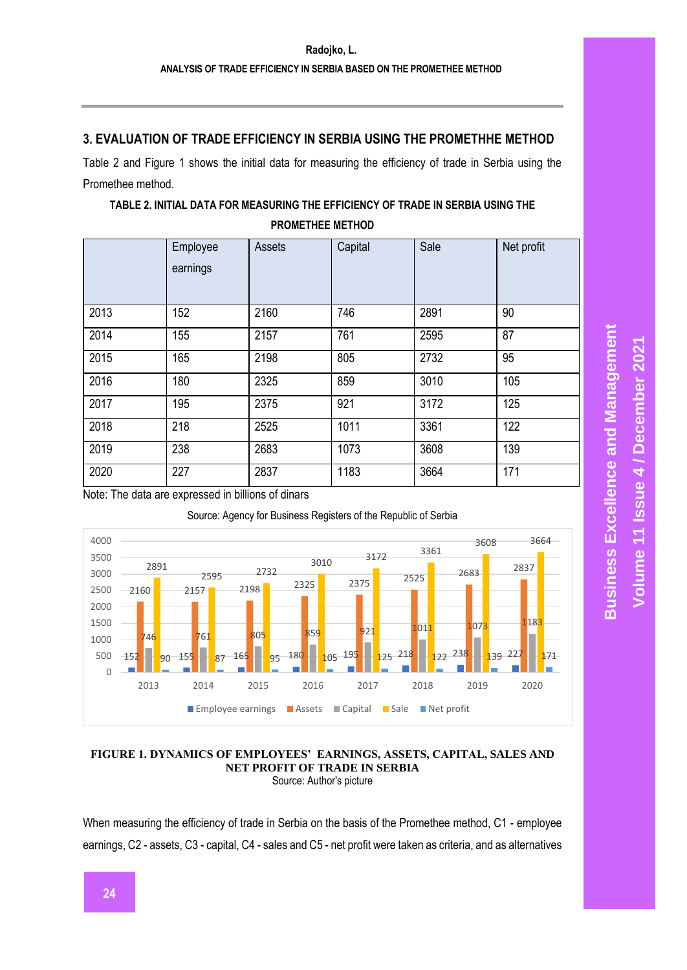## **3. EVALUATION OF TRADE EFFICIENCY IN SERBIA USING THE PROMETHHE METHOD**

Table 2 and Figure 1 shows the initial data for measuring the efficiency of trade in Serbia using the Promethee method.

| TABLE 2. INITIAL DATA FOR MEASURING THE EFFICIENCY OF TRADE IN SERBIA USING THE |
|---------------------------------------------------------------------------------|
| <b>PROMETHEE METHOD</b>                                                         |

|      | Employee<br>earnings | Assets | Capital | Sale | Net profit |
|------|----------------------|--------|---------|------|------------|
| 2013 | 152                  | 2160   | 746     | 2891 | 90         |
| 2014 | 155                  | 2157   | 761     | 2595 | 87         |
| 2015 | 165                  | 2198   | 805     | 2732 | 95         |
| 2016 | 180                  | 2325   | 859     | 3010 | 105        |
| 2017 | 195                  | 2375   | 921     | 3172 | 125        |
| 2018 | 218                  | 2525   | 1011    | 3361 | 122        |
| 2019 | 238                  | 2683   | 1073    | 3608 | 139        |
| 2020 | 227                  | 2837   | 1183    | 3664 | 171        |

Note: The data are expressed in billions of dinars





#### **FIGURE 1. DYNAMICS OF EMPLOYEES' EARNINGS, ASSETS, CAPITAL, SALES AND NET PROFIT OF TRADE IN SERBIA** Source: Author's picture

When measuring the efficiency of trade in Serbia on the basis of the Promethee method, C1 - employee earnings, C2 - assets, C3 - capital, C4 - sales and C5 - net profit were taken as criteria, and as alternatives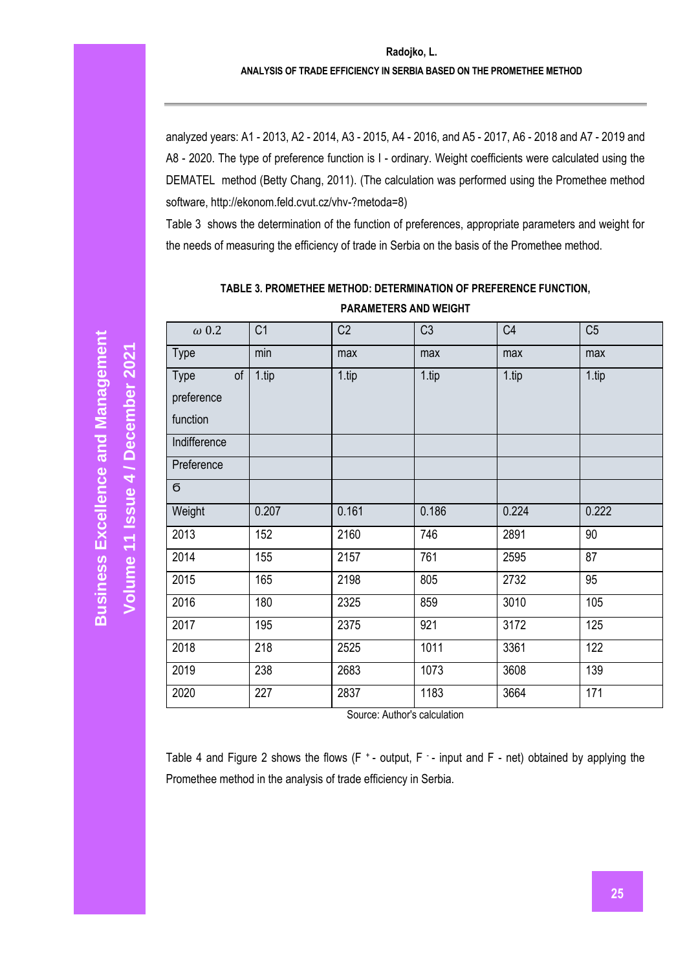analyzed years: A1 - 2013, A2 - 2014, A3 - 2015, A4 - 2016, and A5 - 2017, A6 - 2018 and A7 - 2019 and A8 - 2020. The type of preference function is I - ordinary. Weight coefficients were calculated using the DEMATEL method (Betty Chang, 2011). (The calculation was performed using the Promethee method software, http://ekonom.feld.cvut.cz/vhv-?metoda=8)

Table 3 shows the determination of the function of preferences, appropriate parameters and weight for the needs of measuring the efficiency of trade in Serbia on the basis of the Promethee method.

| $\omega$ 0.2             | C <sub>1</sub> | C <sub>2</sub> | C <sub>3</sub> | C <sub>4</sub> | C <sub>5</sub> |
|--------------------------|----------------|----------------|----------------|----------------|----------------|
| Type                     | min            | max            | max            | max            | max            |
| <b>Type</b><br>$\circ$ f | 1.tip          | 1.tip          | 1.tip          | 1.tip          | 1.tip          |
| preference               |                |                |                |                |                |
| function                 |                |                |                |                |                |
| Indifference             |                |                |                |                |                |
| Preference               |                |                |                |                |                |
| б                        |                |                |                |                |                |
| Weight                   | 0.207          | 0.161          | 0.186          | 0.224          | 0.222          |
| 2013                     | 152            | 2160           | 746            | 2891           | 90             |
| 2014                     | 155            | 2157           | 761            | 2595           | 87             |
| 2015                     | 165            | 2198           | 805            | 2732           | 95             |
| 2016                     | 180            | 2325           | 859            | 3010           | 105            |
| 2017                     | 195            | 2375           | 921            | 3172           | 125            |
| 2018                     | 218            | 2525           | 1011           | 3361           | 122            |
| 2019                     | 238            | 2683           | 1073           | 3608           | 139            |
| 2020                     | 227            | 2837           | 1183           | 3664           | 171            |

**TABLE 3. PROMETHEE METHOD: DETERMINATION OF PREFERENCE FUNCTION, PARAMETERS AND WEIGHT**

Source: Author's calculation

Table 4 and Figure 2 shows the flows  $(F^*$ - output,  $F^*$ - input and  $F^*$ - net) obtained by applying the Promethee method in the analysis of trade efficiency in Serbia.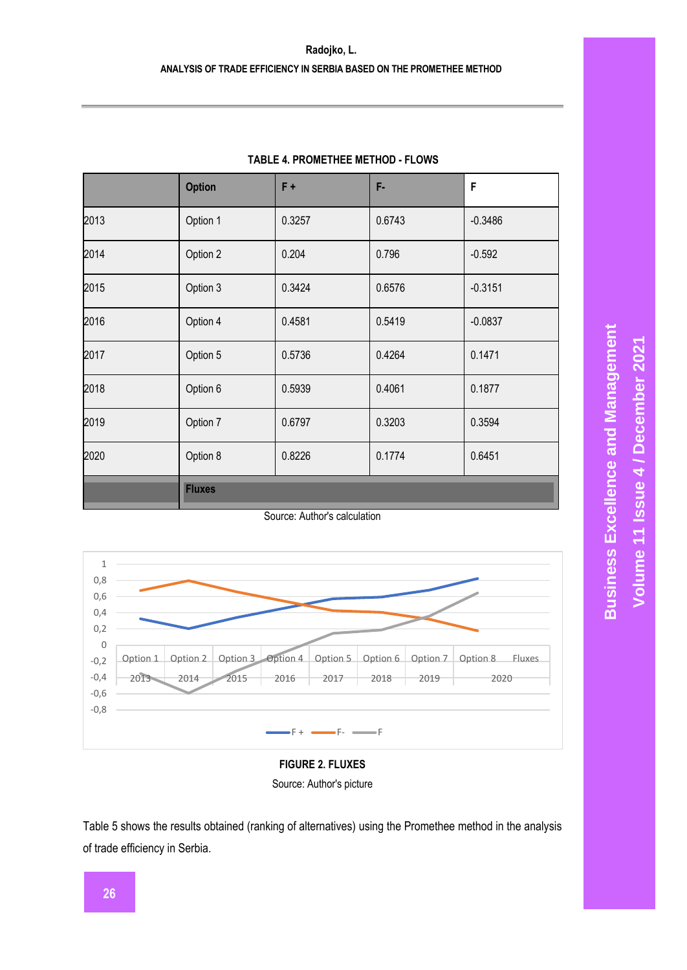## **Radojko, L. ANALYSIS OF TRADE EFFICIENCY IN SERBIA BASED ON THE PROMETHEE METHOD**

|      | <b>Option</b> | $F +$  | F-     | F         |
|------|---------------|--------|--------|-----------|
| 2013 | Option 1      | 0.3257 | 0.6743 | $-0.3486$ |
| 2014 | Option 2      | 0.204  | 0.796  | $-0.592$  |
| 2015 | Option 3      | 0.3424 | 0.6576 | $-0.3151$ |
| 2016 | Option 4      | 0.4581 | 0.5419 | $-0.0837$ |
| 2017 | Option 5      | 0.5736 | 0.4264 | 0.1471    |
| 2018 | Option 6      | 0.5939 | 0.4061 | 0.1877    |
| 2019 | Option 7      | 0.6797 | 0.3203 | 0.3594    |
| 2020 | Option 8      | 0.8226 | 0.1774 | 0.6451    |
|      | <b>Fluxes</b> |        |        |           |

## **TABLE 4. PROMETHEE METHOD - FLOWS**

Source: Author's calculation



## **FIGURE 2. FLUXES** Source: Author's picture

Table 5 shows the results obtained (ranking of alternatives) using the Promethee method in the analysis of trade efficiency in Serbia.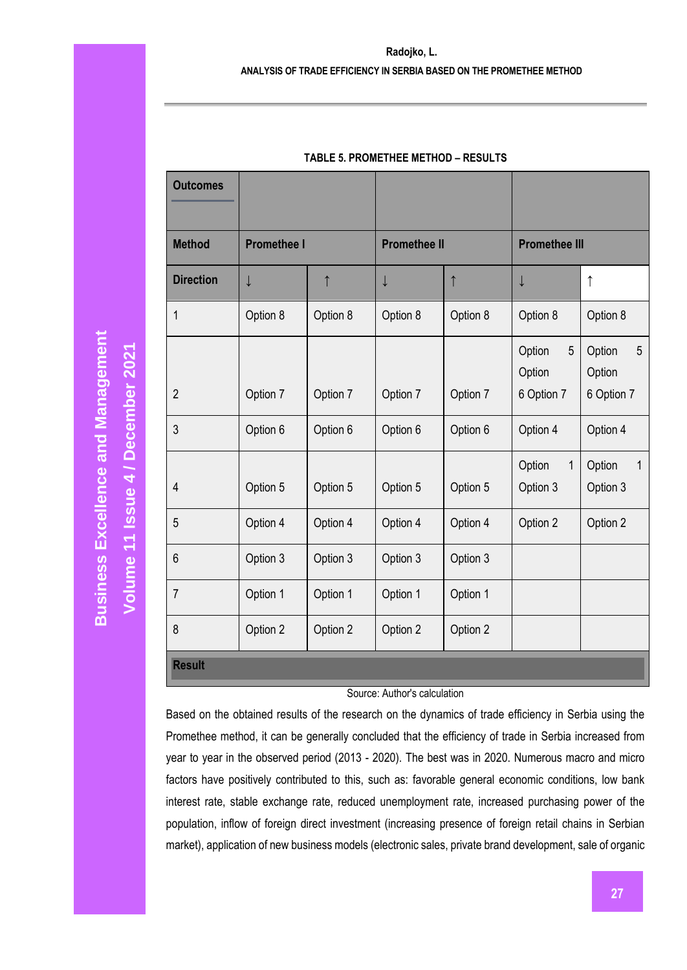#### **Radojko, L.**

#### **ANALYSIS OF TRADE EFFICIENCY IN SERBIA BASED ON THE PROMETHEE METHOD**

| <b>Outcomes</b>  |                    |            |                     |            |                                                  |                                     |
|------------------|--------------------|------------|---------------------|------------|--------------------------------------------------|-------------------------------------|
| <b>Method</b>    | <b>Promethee I</b> |            | <b>Promethee II</b> |            | <b>Promethee III</b>                             |                                     |
| <b>Direction</b> | $\downarrow$       | $\uparrow$ | $\downarrow$        | $\uparrow$ | $\downarrow$                                     | $\uparrow$                          |
| 1                | Option 8           | Option 8   | Option 8            | Option 8   | Option 8                                         | Option 8                            |
| $\overline{2}$   | Option 7           | Option 7   | Option 7            | Option 7   | $\overline{5}$<br>Option<br>Option<br>6 Option 7 | Option<br>5<br>Option<br>6 Option 7 |
| 3                | Option 6           | Option 6   | Option 6            | Option 6   | Option 4                                         | Option 4                            |
| $\overline{4}$   | Option 5           | Option 5   | Option 5            | Option 5   | $\mathbf{1}$<br>Option<br>Option 3               | Option<br>1<br>Option 3             |
| 5                | Option 4           | Option 4   | Option 4            | Option 4   | Option 2                                         | Option 2                            |
| $6\phantom{1}$   | Option 3           | Option 3   | Option 3            | Option 3   |                                                  |                                     |
| $\overline{7}$   | Option 1           | Option 1   | Option 1            | Option 1   |                                                  |                                     |
| 8                | Option 2           | Option 2   | Option 2            | Option 2   |                                                  |                                     |
| <b>Result</b>    |                    |            |                     |            |                                                  |                                     |

#### **TABLE 5. PROMETHEE METHOD – RESULTS**

#### Source: Author's calculation

Based on the obtained results of the research on the dynamics of trade efficiency in Serbia using the Promethee method, it can be generally concluded that the efficiency of trade in Serbia increased from year to year in the observed period (2013 - 2020). The best was in 2020. Numerous macro and micro factors have positively contributed to this, such as: favorable general economic conditions, low bank interest rate, stable exchange rate, reduced unemployment rate, increased purchasing power of the population, inflow of foreign direct investment (increasing presence of foreign retail chains in Serbian market), application of new business models (electronic sales, private brand development, sale of organic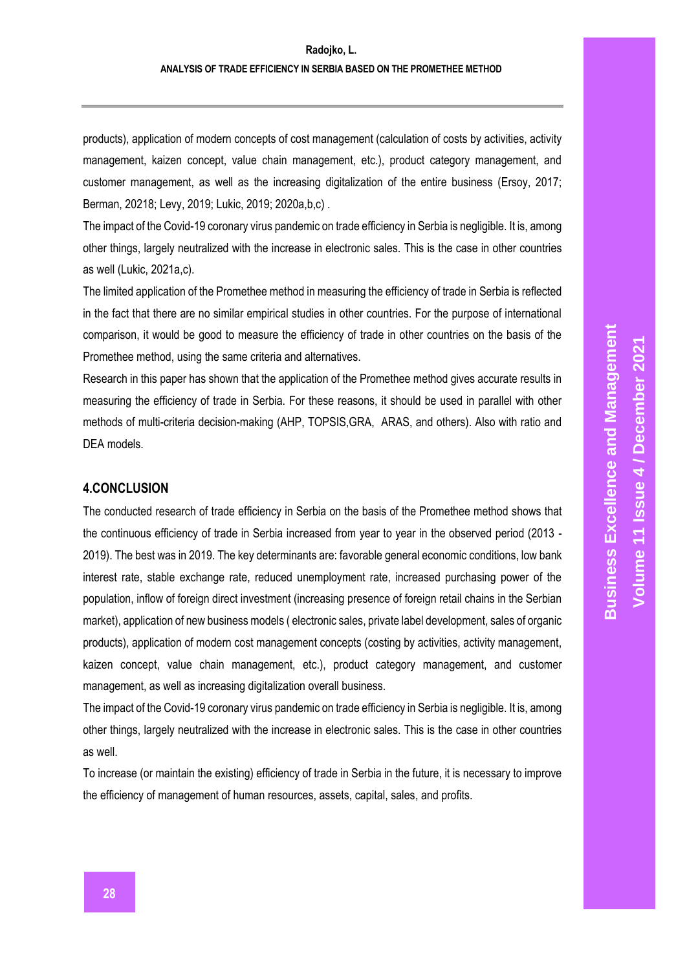products), application of modern concepts of cost management (calculation of costs by activities, activity management, kaizen concept, value chain management, etc.), product category management, and customer management, as well as the increasing digitalization of the entire business (Ersoy, 2017; Berman, 20218; Levy, 2019; Lukic, 2019; 2020a,b,c) .

The impact of the Covid-19 coronary virus pandemic on trade efficiency in Serbia is negligible. It is, among other things, largely neutralized with the increase in electronic sales. This is the case in other countries as well (Lukic, 2021a,c).

The limited application of the Promethee method in measuring the efficiency of trade in Serbia is reflected in the fact that there are no similar empirical studies in other countries. For the purpose of international comparison, it would be good to measure the efficiency of trade in other countries on the basis of the Promethee method, using the same criteria and alternatives.

Research in this paper has shown that the application of the Promethee method gives accurate results in measuring the efficiency of trade in Serbia. For these reasons, it should be used in parallel with other methods of multi-criteria decision-making (AHP, TOPSIS,GRA, ARAS, and others). Also with ratio and DEA models.

## **4.CONCLUSION**

The conducted research of trade efficiency in Serbia on the basis of the Promethee method shows that the continuous efficiency of trade in Serbia increased from year to year in the observed period (2013 - 2019). The best was in 2019. The key determinants are: favorable general economic conditions, low bank interest rate, stable exchange rate, reduced unemployment rate, increased purchasing power of the population, inflow of foreign direct investment (increasing presence of foreign retail chains in the Serbian market), application of new business models ( electronic sales, private label development, sales of organic products), application of modern cost management concepts (costing by activities, activity management, kaizen concept, value chain management, etc.), product category management, and customer management, as well as increasing digitalization overall business.

The impact of the Covid-19 coronary virus pandemic on trade efficiency in Serbia is negligible. It is, among other things, largely neutralized with the increase in electronic sales. This is the case in other countries as well.

To increase (or maintain the existing) efficiency of trade in Serbia in the future, it is necessary to improve the efficiency of management of human resources, assets, capital, sales, and profits.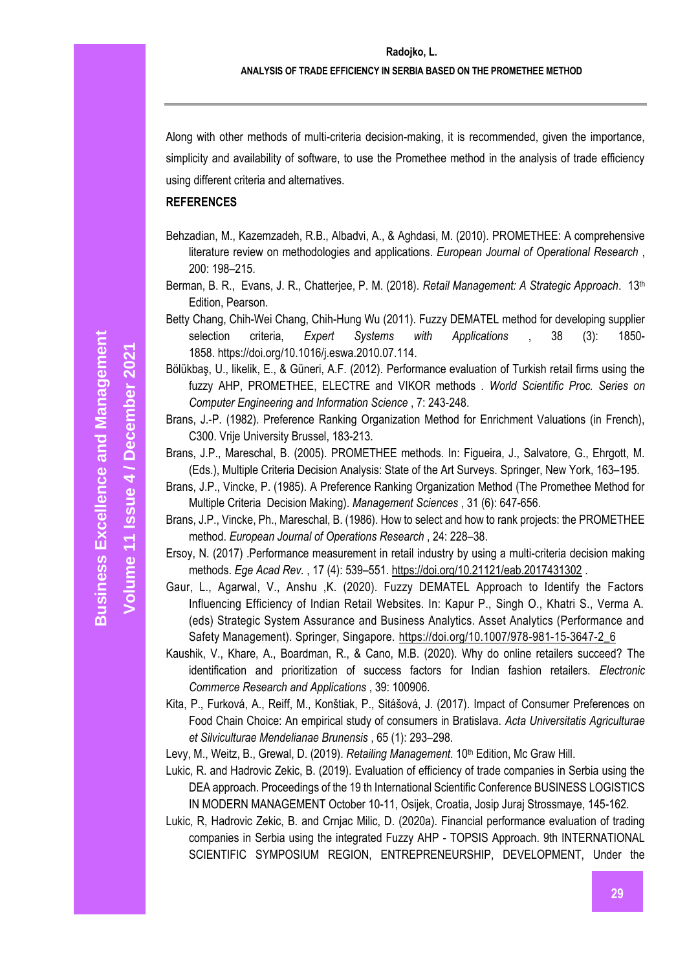Along with other methods of multi-criteria decision-making, it is recommended, given the importance, simplicity and availability of software, to use the Promethee method in the analysis of trade efficiency using different criteria and alternatives.

#### **REFERENCES**

- Behzadian, M., Kazemzadeh, R.B., Albadvi, A., & Aghdasi, M. (2010). PROMETHEE: A comprehensive literature review on methodologies and applications. *European Journal of Operational Research* , 200: 198–215.
- Berman, B. R., Evans, J. R., Chatterjee, P. M. (2018). *Retail Management: A Strategic Approach*. 13th Edition, Pearson.
- Betty Chang, Chih-Wei Chang, Chih-Hung Wu (2011). Fuzzy DEMATEL method for developing supplier selection criteria, *Expert Systems with Applications* , 38 (3): 1850- 1858. https://doi.org/10.1016/j.eswa.2010.07.114.
- Bölükbaş, U., likelik, E., & Güneri, A.F. (2012). Performance evaluation of Turkish retail firms using the fuzzy AHP, PROMETHEE, ELECTRE and VIKOR methods *. World Scientific Proc. Series on Computer Engineering and Information Science* , 7: 243-248.
- Brans, J.-P. (1982). Preference Ranking Organization Method for Enrichment Valuations (in French), C300. Vrije University Brussel, 183-213.
- Brans, J.P., Mareschal, B. (2005). PROMETHEE methods. In: Figueira, J., Salvatore, G., Ehrgott, M. (Eds.), Multiple Criteria Decision Analysis: State of the Art Surveys. Springer, New York, 163–195.
- Brans, J.P., Vincke, P. (1985). A Preference Ranking Organization Method (The Promethee Method for Multiple Criteria Decision Making). *Management Sciences* , 31 (6): 647-656.
- Brans, J.P., Vincke, Ph., Mareschal, B. (1986). How to select and how to rank projects: the PROMETHEE method. *European Journal of Operations Research* , 24: 228–38.
- Ersoy, N. (2017) .Performance measurement in retail industry by using a multi-criteria decision making methods. *Ege Acad Rev.* , 17 (4): 539–551. [https://doi.org/10.21121/eab.2017431302](https://translate.google.com/translate?hl=en&prev=_t&sl=sr&tl=en&u=https://doi.org/10.21121/eab.2017431302) .
- Gaur, L., Agarwal, V., Anshu ,K. (2020). Fuzzy DEMATEL Approach to Identify the Factors Influencing Efficiency of Indian Retail Websites. In: Kapur P., Singh O., Khatri S., Verma A. (eds) Strategic System Assurance and Business Analytics. Asset Analytics (Performance and Safety Management). Springer, Singapore. [https://doi.org/10.1007/978-981-15-3647-2\\_6](https://doi.org/10.1007/978-981-15-3647-2_6)
- Kaushik, V., Khare, A., Boardman, R., & Cano, M.B. (2020). Why do online retailers succeed? The identification and prioritization of success factors for Indian fashion retailers. *Electronic Commerce Research and Applications* , 39: 100906.
- Kita, P., Furková, A., Reiff, M., Konštiak, P., Sitášová, J. (2017). Impact of Consumer Preferences on Food Chain Choice: An empirical study of consumers in Bratislava. *Acta Universitatis Agriculturae et Silviculturae Mendelianae Brunensis* , 65 (1): 293–298.

Levy, M., Weitz, B., Grewal, D. (2019). *Retailing Management*. 10<sup>th</sup> Edition, Mc Graw Hill.

- Lukic, R. and Hadrovic Zekic, B. (2019). Evaluation of efficiency of trade companies in Serbia using the DEA approach. Proceedings of the 19 th International Scientific Conference BUSINESS LOGISTICS IN MODERN MANAGEMENT October 10-11, Osijek, Croatia, Josip Juraj Strossmaye, 145-162.
- Lukic, R, Hadrovic Zekic, B. and Crnjac Milic, D. (2020a). Financial performance evaluation of trading companies in Serbia using the integrated Fuzzy AHP - TOPSIS Approach. 9th INTERNATIONAL SCIENTIFIC SYMPOSIUM REGION, ENTREPRENEURSHIP, DEVELOPMENT, Under the

**Volume 11 Issue** 

**/ December 2021**